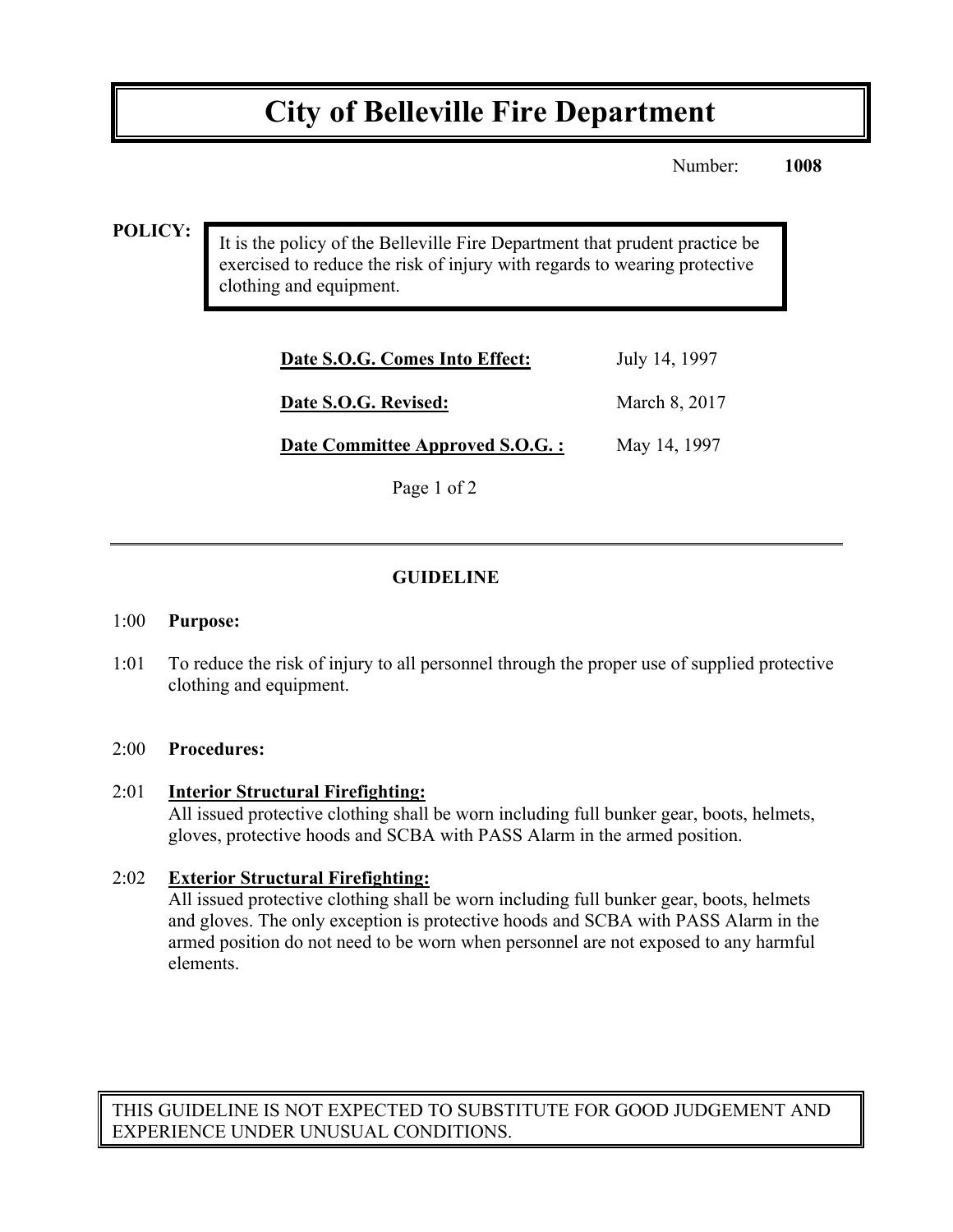# **City of Belleville Fire Department**

Number: **1008**

#### **POLICY:**

It is the policy of the Belleville Fire Department that prudent practice be exercised to reduce the risk of injury with regards to wearing protective clothing and equipment.

| Date S.O.G. Comes Into Effect:  | July 14, 1997 |
|---------------------------------|---------------|
| Date S.O.G. Revised:            | March 8, 2017 |
| Date Committee Approved S.O.G.: | May 14, 1997  |

Page 1 of 2

#### **GUIDELINE**

#### 1:00 **Purpose:**

1:01 To reduce the risk of injury to all personnel through the proper use of supplied protective clothing and equipment.

#### 2:00 **Procedures:**

#### 2:01 **Interior Structural Firefighting:**

All issued protective clothing shall be worn including full bunker gear, boots, helmets, gloves, protective hoods and SCBA with PASS Alarm in the armed position.

#### 2:02 **Exterior Structural Firefighting:**

All issued protective clothing shall be worn including full bunker gear, boots, helmets and gloves. The only exception is protective hoods and SCBA with PASS Alarm in the armed position do not need to be worn when personnel are not exposed to any harmful elements.

THIS GUIDELINE IS NOT EXPECTED TO SUBSTITUTE FOR GOOD JUDGEMENT AND EXPERIENCE UNDER UNUSUAL CONDITIONS.